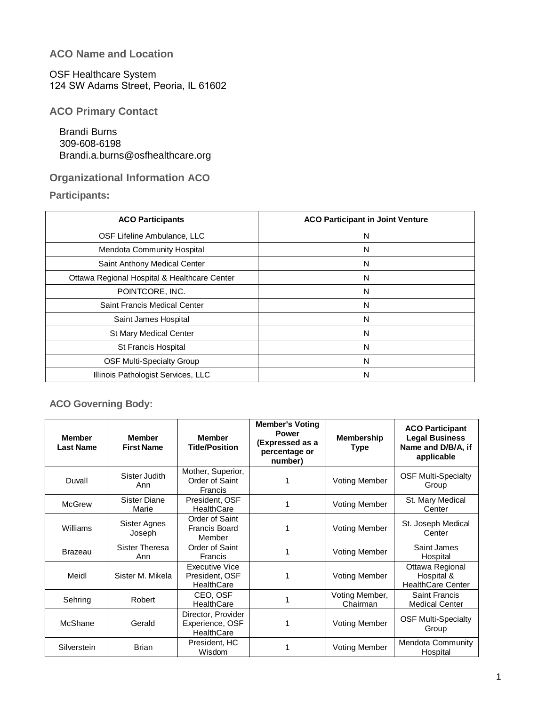## **ACO Name and Location**

OSF Healthcare System 124 SW Adams Street, Peoria, IL 61602

**ACO Primary Contact** 

Brandi Burns 309-608-6198 Brandi.a.burns@osfhealthcare.org

# **Organizational Information ACO**

**Participants:** 

| <b>ACO Participants</b>                      | <b>ACO Participant in Joint Venture</b> |
|----------------------------------------------|-----------------------------------------|
| OSF Lifeline Ambulance, LLC                  | N                                       |
| Mendota Community Hospital                   | N                                       |
| Saint Anthony Medical Center                 | N                                       |
| Ottawa Regional Hospital & Healthcare Center | N                                       |
| POINTCORE, INC.                              | N                                       |
| Saint Francis Medical Center                 | N                                       |
| Saint James Hospital                         | N                                       |
| St Mary Medical Center                       | N                                       |
| St Francis Hospital                          | N                                       |
| <b>OSF Multi-Specialty Group</b>             | N                                       |
| Illinois Pathologist Services, LLC           | N                                       |

# **ACO Governing Body:**

| <b>Member</b><br><b>Last Name</b> | <b>Member</b><br><b>First Name</b> | <b>Member</b><br><b>Title/Position</b>                       | <b>Member's Voting</b><br><b>Power</b><br>(Expressed as a<br>percentage or<br>number) | <b>Membership</b><br><b>Type</b> | <b>ACO Participant</b><br><b>Legal Business</b><br>Name and D/B/A, if<br>applicable |
|-----------------------------------|------------------------------------|--------------------------------------------------------------|---------------------------------------------------------------------------------------|----------------------------------|-------------------------------------------------------------------------------------|
| Duvall                            | Sister Judith<br>Ann               | Mother, Superior,<br>Order of Saint<br>Francis               |                                                                                       | <b>Voting Member</b>             | <b>OSF Multi-Specialty</b><br>Group                                                 |
| <b>McGrew</b>                     | Sister Diane<br>Marie              | President, OSF<br><b>HealthCare</b>                          |                                                                                       | <b>Voting Member</b>             | St. Mary Medical<br>Center                                                          |
| Williams                          | Sister Agnes<br>Joseph             | Order of Saint<br>Francis Board<br>Member                    |                                                                                       | <b>Voting Member</b>             | St. Joseph Medical<br>Center                                                        |
| <b>Brazeau</b>                    | Sister Theresa<br>Ann              | Order of Saint<br>Francis                                    |                                                                                       | <b>Voting Member</b>             | Saint James<br>Hospital                                                             |
| Meidl                             | Sister M. Mikela                   | <b>Executive Vice</b><br>President, OSF<br><b>HealthCare</b> |                                                                                       | <b>Voting Member</b>             | Ottawa Regional<br>Hospital &<br><b>HealthCare Center</b>                           |
| Sehring                           | Robert                             | CEO, OSF<br><b>HealthCare</b>                                |                                                                                       | Voting Member,<br>Chairman       | <b>Saint Francis</b><br><b>Medical Center</b>                                       |
| McShane                           | Gerald                             | Director, Provider<br>Experience, OSF<br><b>HealthCare</b>   |                                                                                       | <b>Voting Member</b>             | <b>OSF Multi-Specialty</b><br>Group                                                 |
| Silverstein                       | <b>Brian</b>                       | President, HC<br>Wisdom                                      |                                                                                       | <b>Voting Member</b>             | <b>Mendota Community</b><br>Hospital                                                |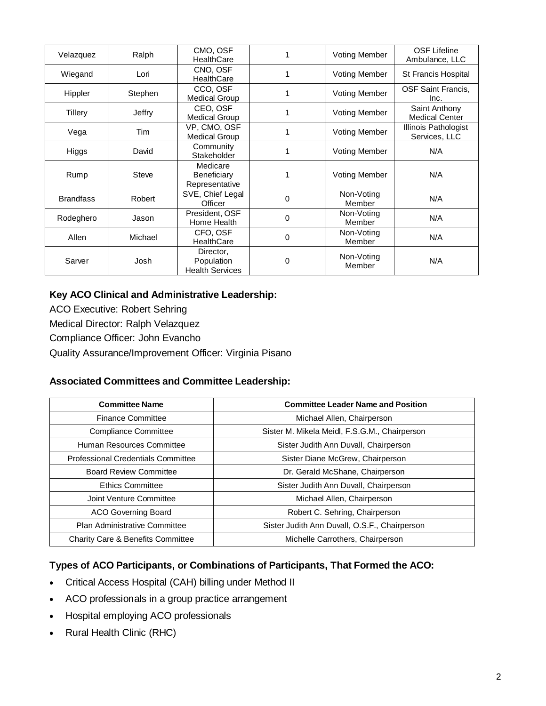| Velazquez        | Ralph        | CMO, OSF<br><b>HealthCare</b>                     |   | <b>Voting Member</b> | <b>OSF Lifeline</b><br>Ambulance, LLC  |
|------------------|--------------|---------------------------------------------------|---|----------------------|----------------------------------------|
| Wiegand          | Lori         | CNO, OSF<br><b>HealthCare</b>                     |   | <b>Voting Member</b> | <b>St Francis Hospital</b>             |
| Hippler          | Stephen      | CCO, OSF<br><b>Medical Group</b>                  |   | <b>Voting Member</b> | <b>OSF Saint Francis,</b><br>Inc.      |
| Tillery          | Jeffry       | CEO, OSF<br><b>Medical Group</b>                  |   | <b>Voting Member</b> | Saint Anthony<br><b>Medical Center</b> |
| Vega             | Tim          | VP, CMO, OSF<br><b>Medical Group</b>              |   | <b>Voting Member</b> | Illinois Pathologist<br>Services, LLC  |
| Higgs            | David        | Community<br>Stakeholder                          |   | <b>Voting Member</b> | N/A                                    |
| Rump             | <b>Steve</b> | Medicare<br>Beneficiary<br>Representative         |   | <b>Voting Member</b> | N/A                                    |
| <b>Brandfass</b> | Robert       | SVE, Chief Legal<br>Officer                       | 0 | Non-Voting<br>Member | N/A                                    |
| Rodeghero        | Jason        | President, OSF<br>Home Health                     | 0 | Non-Voting<br>Member | N/A                                    |
| Allen            | Michael      | CFO, OSF<br><b>HealthCare</b>                     | 0 | Non-Voting<br>Member | N/A                                    |
| Sarver           | Josh         | Director,<br>Population<br><b>Health Services</b> | 0 | Non-Voting<br>Member | N/A                                    |

## **Key ACO Clinical and Administrative Leadership:**

ACO Executive: Robert Sehring Medical Director: Ralph Velazquez Compliance Officer: John Evancho

Quality Assurance/Improvement Officer: Virginia Pisano

## **Associated Committees and Committee Leadership:**

| <b>Committee Name</b>                        | <b>Committee Leader Name and Position</b>     |
|----------------------------------------------|-----------------------------------------------|
| <b>Finance Committee</b>                     | Michael Allen, Chairperson                    |
| Compliance Committee                         | Sister M. Mikela Meidl, F.S.G.M., Chairperson |
| Human Resources Committee                    | Sister Judith Ann Duvall, Chairperson         |
| <b>Professional Credentials Committee</b>    | Sister Diane McGrew, Chairperson              |
| <b>Board Review Committee</b>                | Dr. Gerald McShane, Chairperson               |
| <b>Ethics Committee</b>                      | Sister Judith Ann Duvall, Chairperson         |
| Joint Venture Committee                      | Michael Allen, Chairperson                    |
| <b>ACO Governing Board</b>                   | Robert C. Sehring, Chairperson                |
| <b>Plan Administrative Committee</b>         | Sister Judith Ann Duvall, O.S.F., Chairperson |
| <b>Charity Care &amp; Benefits Committee</b> | Michelle Carrothers, Chairperson              |

## **Types of ACO Participants, or Combinations of Participants, That Formed the ACO:**

- Critical Access Hospital (CAH) billing under Method II
- ACO professionals in a group practice arrangement
- Hospital employing ACO professionals
- Rural Health Clinic (RHC)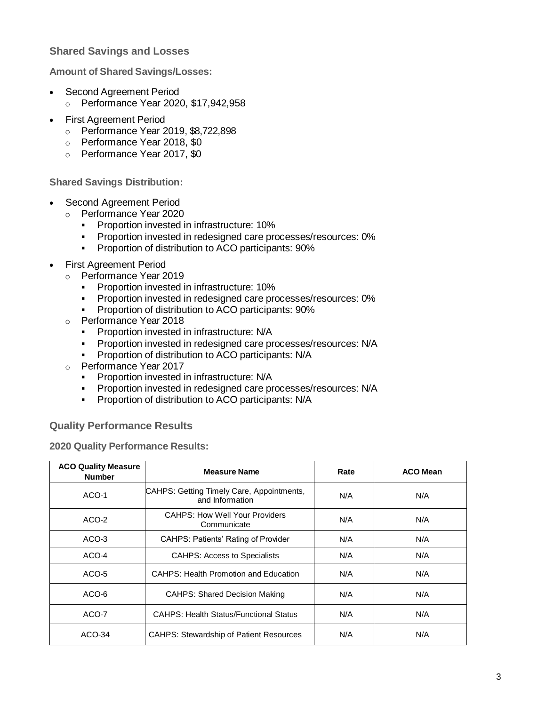## **Shared Savings and Losses**

**Amount of Shared Savings/Losses:**

- Second Agreement Period
	- o Performance Year 2020, \$17,942,958
- First Agreement Period
	- o Performance Year 2019, \$8,722,898
	- o Performance Year 2018, \$0
	- o Performance Year 2017, \$0

**Shared Savings Distribution:**

- Second Agreement Period
	- o Performance Year 2020
		- **Proportion invested in infrastructure: 10%**
		- **Proportion invested in redesigned care processes/resources: 0%**
		- **Proportion of distribution to ACO participants: 90%**
- First Agreement Period
	- o Performance Year 2019
		- **Proportion invested in infrastructure: 10%**
		- **Proportion invested in redesigned care processes/resources: 0%**
		- **Proportion of distribution to ACO participants: 90%**
	- o Performance Year 2018
		- Proportion invested in infrastructure: N/A
		- **Proportion invested in redesigned care processes/resources: N/A**
		- **Proportion of distribution to ACO participants: N/A**
	- o Performance Year 2017
		- **Proportion invested in infrastructure: N/A**
		- Proportion invested in redesigned care processes/resources: N/A
		- **Proportion of distribution to ACO participants: N/A**

#### **Quality Performance Results**

**2020 Quality Performance Results:**

| <b>ACO Quality Measure</b><br><b>Number</b> | <b>Measure Name</b>                                          | Rate | <b>ACO Mean</b> |
|---------------------------------------------|--------------------------------------------------------------|------|-----------------|
| ACO-1                                       | CAHPS: Getting Timely Care, Appointments,<br>and Information | N/A  | N/A             |
| ACO-2                                       | <b>CAHPS: How Well Your Providers</b><br>Communicate         | N/A  | N/A             |
| ACO-3                                       | <b>CAHPS: Patients' Rating of Provider</b>                   | N/A  | N/A             |
| ACO-4                                       | <b>CAHPS: Access to Specialists</b>                          | N/A  | N/A             |
| ACO-5                                       | CAHPS: Health Promotion and Education                        | N/A  | N/A             |
| ACO-6                                       | <b>CAHPS: Shared Decision Making</b>                         | N/A  | N/A             |
| ACO-7                                       | <b>CAHPS: Health Status/Functional Status</b>                | N/A  | N/A             |
| $ACO-34$                                    | <b>CAHPS: Stewardship of Patient Resources</b>               | N/A  | N/A             |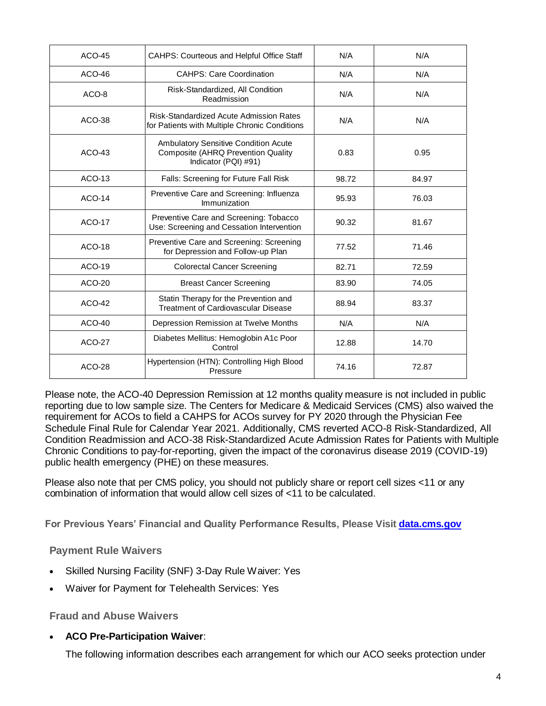| $ACO-45$      | <b>CAHPS: Courteous and Helpful Office Staff</b>                                                   | N/A   | N/A   |
|---------------|----------------------------------------------------------------------------------------------------|-------|-------|
| $ACO-46$      | <b>CAHPS: Care Coordination</b>                                                                    | N/A   | N/A   |
| ACO-8         | Risk-Standardized, All Condition<br>Readmission                                                    | N/A   | N/A   |
| $ACO-38$      | Risk-Standardized Acute Admission Rates<br>for Patients with Multiple Chronic Conditions           | N/A   | N/A   |
| $ACO-43$      | Ambulatory Sensitive Condition Acute<br>Composite (AHRQ Prevention Quality<br>Indicator (PQI) #91) | 0.83  | 0.95  |
| $ACO-13$      | Falls: Screening for Future Fall Risk                                                              | 98.72 | 84.97 |
| $ACO-14$      | Preventive Care and Screening: Influenza<br>Immunization                                           | 95.93 | 76.03 |
| <b>ACO-17</b> | Preventive Care and Screening: Tobacco<br>Use: Screening and Cessation Intervention                | 90.32 | 81.67 |
| <b>ACO-18</b> | Preventive Care and Screening: Screening<br>for Depression and Follow-up Plan                      | 77.52 | 71.46 |
| ACO-19        | <b>Colorectal Cancer Screening</b>                                                                 | 82.71 | 72.59 |
| $ACO-20$      | <b>Breast Cancer Screening</b>                                                                     | 83.90 | 74.05 |
| <b>ACO-42</b> | Statin Therapy for the Prevention and<br><b>Treatment of Cardiovascular Disease</b>                | 88.94 | 83.37 |
| $ACO-40$      | Depression Remission at Twelve Months                                                              | N/A   | N/A   |
| <b>ACO-27</b> | Diabetes Mellitus: Hemoglobin A1c Poor<br>Control                                                  | 12.88 | 14.70 |
| <b>ACO-28</b> | Hypertension (HTN): Controlling High Blood<br>Pressure                                             | 74.16 | 72.87 |

Please note, the ACO-40 Depression Remission at 12 months quality measure is not included in public reporting due to low sample size. The Centers for Medicare & Medicaid Services (CMS) also waived the requirement for ACOs to field a CAHPS for ACOs survey for PY 2020 through the Physician Fee Schedule Final Rule for Calendar Year 2021. Additionally, CMS reverted ACO-8 Risk-Standardized, All Condition Readmission and ACO-38 Risk-Standardized Acute Admission Rates for Patients with Multiple Chronic Conditions to pay-for-reporting, given the impact of the coronavirus disease 2019 (COVID-19) public health emergency (PHE) on these measures.

Please also note that per CMS policy, you should not publicly share or report cell sizes <11 or any combination of information that would allow cell sizes of <11 to be calculated.

**For Previous Years' Financial and Quality Performance Results, Please Visit [data.cms.gov](https://data.cms.gov/medicare-shared-savings-program/performance-year-financial-and-quality-results)**

### **Payment Rule Waivers**

- Skilled Nursing Facility (SNF) 3-Day Rule Waiver: Yes
- Waiver for Payment for Telehealth Services: Yes

**Fraud and Abuse Waivers**

**ACO Pre-Participation Waiver**:

The following information describes each arrangement for which our ACO seeks protection under